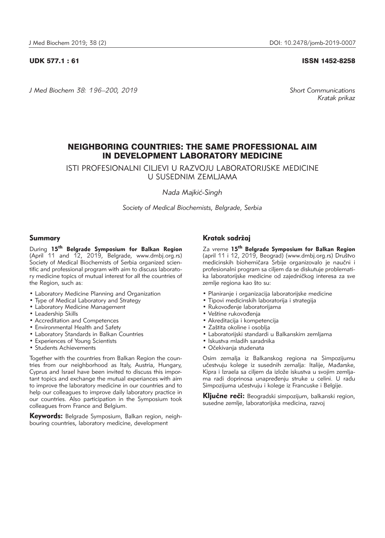UDK 577.1 : 61 ISSN 1452-8258

*J Med Biochem 38: 196–200, 2019 Short Communications*

*Kratak prikaz*

# NEIGHBORING COUNTRIES: THE SAME PROFESSIONAL AIM IN DEVELOPMENT LABORATORY MEDICINE

ISTI PROFESIONALNI CILJEVI U RAZVOJU LABORATORIJSKE MEDICINE U SUSEDNIM ZEMLJAMA

*Nada Majki}-Singh*

*Society of Medical Biochemists, Belgrade, Serbia*

# Summary

During **15th Belgrade Symposium for Balkan Region** (April 11 and 12, 2019, Belgrade, www.dmbj.org.rs) Society of Medical Biochemists of Serbia organized scientific and professional program with aim to discuss laboratory medicine topics of mutual interest for all the countries of the Region, such as:

- Laboratory Medicine Planning and Organization
- Type of Medical Laboratory and Strategy
- Laboratory Medicine Management
- Leadership Skills
- Accreditation and Competences
- Environmental Health and Safety
- Laboratory Standards in Balkan Countries
- Experiences of Young Scientists
- Students Achievements

Together with the countries from Balkan Region the countries from our neighborhood as Italy, Austria, Hungary, Cyprus and Israel have been invited to discuss this important topics and exchange the mutual experiances with aim to improve the laboratory medicine in our countries and to help our colleagues to improve daily laboratory practice in our countries. Also participation in the Symposium took colleagues from France and Belgium.

Keywords: Belgrade Symposium, Balkan region, neighbouring countries, laboratory medicine, development

# Kratak sadržaj

Za vreme **15th Belgrade Symposium for Balkan Region** (april 11 i 12, 2019, Beograd) (www.dmbj.org.rs) Društvo medicinskih biohemičara Srbije organizovalo je naučni i profesionalni program sa ciljem da se diskutuje problematika laboratorijske medicine od zajedničkog interesa za sve zemlje regiona kao što su:

- Planiranje i organizacija laboratorijske medicine
- Tipovi medicinskih laboratorija i strategija
- Rukovođenje laboratorijama
- Veštine rukovođenja
- Akreditacija i kompetencija
- Zaštita okoline i osoblja
- Laboratorijski standardi u Balkanskim zemljama
- Iskustva mladih saradnika
- Očekivanja studenata

Osim zemalja iz Balkanskog regiona na Simpozijumu učestvuju kolege iz susednih zemalja: Italije, Mađarske, Kipra i Izraela sa ciljem da izlože iskustva u svojim zemljama radi doprinosa unapređenju struke u celini. U radu Simpozijuma učestvuju i kolege iz Francuske i Belgije.

Ključne reči: Beogradski simpozijum, balkanski region, susedne zemlje, laboratorijska medicina, razvoj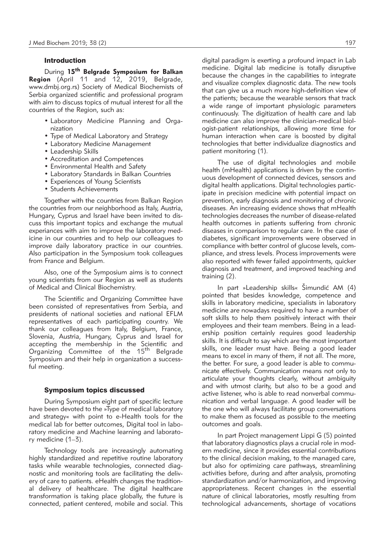# Introduction

During **15th Belgrade Symposium for Balkan** Region (April 11 and 12, 2019, Belgrade, www.dmbj.org.rs) Society of Medical Biochemists of Serbia organized scientific and professional program with aim to discuss topics of mutual interest for all the countries of the Region, such as:

- Laboratory Medicine Planning and Organization
- Type of Medical Laboratory and Strategy
- Laboratory Medicine Management
- Leadership Skills
- Accreditation and Competences
- Environmental Health and Safety
- Laboratory Standards in Balkan Countries
- Experiences of Young Scientists
- Students Achievements

Together with the countries from Balkan Region the countries from our neighborhood as Italy, Austria, Hungary, Cyprus and Israel have been invited to discuss this important topics and exchange the mutual experiances with aim to improve the laboratory medicine in our countries and to help our colleagues to improve daily laboratory practice in our countries. Also participation in the Symposium took colleagues from France and Belgium.

Also, one of the Symposium aims is to connect young scientists from our Region as well as students of Medical and Clinical Biochemistry.

The Scientific and Organizing Committee have been consisted of representatives from Serbia, and presidents of national societies and national EFLM representatives of each participating country. We thank our colleagues from Italy, Belgium, France, Slovenia, Austria, Hungary, Cyprus and Israel for accepting the membership in the Scientific and Organizing Committee of the 15<sup>th</sup> Belgrade Symposium and their help in organization a successful meeting.

### Symposium topics discussed

During Symposium eight part of specific lecture have been devoted to the »Type of medical laboratory and strategy« with point to e-Health tools for the medical lab for better outcomes, Digital tool in laboratory medicine and Machine learning and laboratory medicine (1–3).

Technology tools are increasingly automating highly standardized and repetitive routine laboratory tasks while wearable technologies, connected diagnostic and monitoring tools are facilitating the delivery of care to patients. eHealth changes the traditional delivery of healthcare. The digital healthcare transformation is taking place globally, the future is connected, patient centered, mobile and social. This

digital paradigm is exerting a profound impact in Lab medicine. Digital lab medicine is totally disruptive because the changes in the capabilities to integrate and visualize complex diagnostic data. The new tools that can give us a much more high-definition view of the patients; because the wearable sensors that track a wide range of important physiologic parameters continuously. The digitization of health care and lab medicine can also improve the clinician-medical biologist-patient relationships, allowing more time for human interaction when care is boosted by digital technologies that better individualize diagnostics and patient monitoring (1).

The use of digital technologies and mobile health (mHealth) applications is driven by the continuous development of connected devices, sensors and digital health applications. Digital technologies participate in precision medicine with potential impact on prevention, early diagnosis and monitoring of chronic diseases. An increasing evidence shows that mHealth technologies decreases the number of disease-related health outcomes in patients suffering from chronic diseases in comparison to regular care. In the case of diabetes, significant improvements were observed in compliance with better control of glucose levels, compliance, and stress levels. Process improvements were also reported with fewer failed appointments, quicker diagnosis and treatment, and improved teaching and training (2).

In part »Leadership skills«  $\text{Simundic AM} (4)$ pointed that besides knowledge, competence and skills in laboratory medicine, specialists in laboratory medicine are nowadays required to have a number of soft skills to help them positively interact with their employees and their team members. Being in a leadership position certainly requires good leadership skills. It is difficult to say which are the most important skills, one leader must have. Being a good leader means to excel in many of them, if not all. The more, the better. For sure, a good leader is able to communicate effectively. Communication means not only to articulate your thoughts clearly, without ambiguity and with utmost clarity, but also to be a good and active listener, who is able to read nonverbal communication and verbal language. A good leader will be the one who will always facilitate group conversations to make them as focused as possible to the meeting outcomes and goals.

In part Project management Lippi G (5) pointed that laboratory diagnostics plays a crucial role in modern medicine, since it provides essential contributions to the clinical decision making, to the managed care, but also for optimizing care pathways, streamlining activities before, during and after analysis, promoting standardization and/or harmonization, and improving appropriateness. Recent changes in the essential nature of clinical laboratories, mostly resulting from technological advancements, shortage of vocations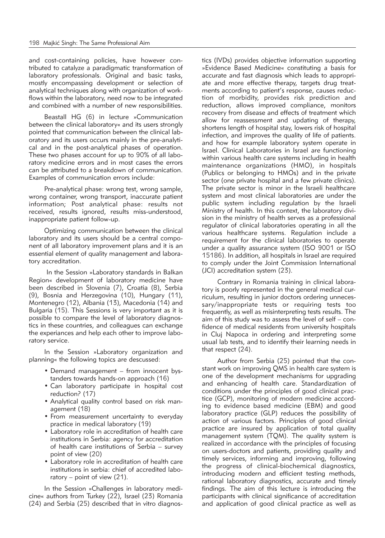and cost-containing policies, have however contributed to catalyze a paradigmatic transformation of laboratory professionals. Original and basic tasks, mostly encompassing development or selection of analytical techniques along with organization of workflows within the laboratory, need now to be integrated and combined with a number of new responsibilities.

Beastall HG (6) in lecture »Communication between the clinical laboratory« and its users strongly pointed that communication between the clinical laboratory and its users occurs mainly in the pre-analytical and in the post-analytical phases of operation. These two phases account for up to 90% of all laboratory medicine errors and in most cases the errors can be attributed to a breakdown of communication. Examples of communication errors include:

Pre-analytical phase: wrong test, wrong sample, wrong container, wrong transport, inaccurate patient information; Post analytical phase: results not received, results ignored, results miss-understood, inappropriate patient follow-up.

Optimizing communication between the clinical laboratory and its users should be a central component of all laboratory improvement plans and it is an essential element of quality management and laboratory accreditation.

In the Session »Laboratory standards in Balkan Region« development of laboratory medicine have been described in Slovenia (7), Croatia (8), Serbia (9), Bosnia and Herzegovina (10), Hungary (11), Montenegro (12), Albania (13), Macedonia (14) and Bulgaria (15). This Sessions is very important as it is possible to compare the level of laboratory diagnostics in these countries, and colleagues can exchange the experiances and help each other to improve laboratory service.

In the Session »Laboratory organization and planning« the following topics are descussed:

- Demand management from innocent bystanders towards hands-on approach (16)
- Can laboratory participate in hospital cost reduction? (17)
- Analytical quality control based on risk management (18)
- From measurement uncertainty to everyday practice in medical laboratory (19)
- Laboratory role in accreditation of health care institutions in Serbia: agency for accreditation of health care institutions of Serbia – survey point of view (20)
- Laboratory role in accreditation of health care institutions in serbia: chief of accredited laboratory – point of view (21).

In the Session »Challenges in laboratory medicine« authors from Turkey (22), Israel (23) Romania (24) and Serbia (25) described that in vitro diagnostics (IVDs) provides objective information supporting »Evidence Based Medicine« constituting a basis for accurate and fast diagnosis which leads to appropriate and more effective therapy, targets drug treatments according to patient's response, causes reduction of morbidity, provides risk prediction and reduction, allows improved compliance, monitors recovery from disease and effects of treatment which allow for reassessment and updating of therapy, shortens length of hospital stay, lowers risk of hospital infection, and improves the quality of life of patients. and how for example laboratory system operate in Israel. Clinical Laboratories in Israel are functioning within various health care systems including in health maintenance organizations (HMO), in hospitals (Publics or belonging to HMOs) and in the private sector (one private hospital and a few private clinics). The private sector is minor in the Israeli healthcare system and most clinical laboratories are under the public system including regulation by the Israeli Ministry of health. In this context, the laboratory division in the ministry of health serves as a professional regulator of clinical laboratories operating in all the various healthcare systems. Regulation include a requirement for the clinical laboratories to operate under a quality assurance system (ISO 9001 or ISO 15186). In addition, all hospitals in Israel are required to comply under the Joint Commission International (JCI) accreditation system (23).

Contrary in Romania training in clinical laboratory is poorly represented in the general medical curriculum, resulting in junior doctors ordering unnecessary/inappropriate tests or requiring tests too frequently, as well as misinterpreting tests results. The aim of this study was to assess the level of self – confidence of medical residents from university hospitals in Cluj Napoca in ordering and interpreting some usual lab tests, and to identify their learning needs in that respect (24).

Author from Serbia (25) pointed that the constant work on improving QMS in health care system is one of the development mechanisms for upgrading and enhancing of health care. Standardization of conditions under the principles of good clinical practice (GCP), monitoring of modern medicine according to evidence based medicine (EBM) and good laboratory practice (GLP) reduces the possibility of action of various factors. Principles of good clinical practice are insured by application of total quality management system (TQM). The quality system is realized in accordance with the principles of focusing on users-doctors and patients, providing quality and timely services, informing and improving, following the progress of clinical-biochemical diagnostics, introducing modern and efficient testing methods, rational laboratory diagnostics, accurate and timely findings. The aim of this lecture is introducing the participants with clinical significance of accreditation and application of good clinical practice as well as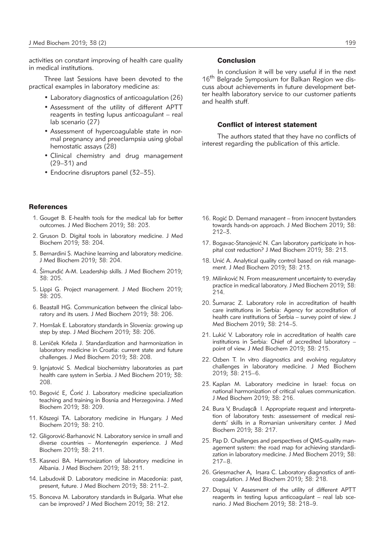activities on constant improving of health care quality in medical institutions.

Three last Sessions have been devoted to the practical examples in laboratory medicine as:

- Laboratory diagnostics of anticoagulation (26)
- Assessment of the utility of different APTT reagents in testing lupus anticoagulant – real lab scenario (27)
- Assessment of hypercoagulable state in normal pregnancy and preeclampsia using global hemostatic assays (28)
- Clinical chemistry and drug management (29–31) and
- Endocrine disruptors panel (32–35).

#### **References**

- 1. Gouget B. E-health tools for the medical lab for better outcomes. J Med Biochem 2019; 38: 203.
- 2. Gruson D. Digital tools in laboratory medicine. J Med Biochem 2019; 38: 204.
- 3. Bernardini S. Machine learning and laboratory medicine. J Med Biochem 2019; 38: 204.
- 4. Šimundić A-M. Leadership skills. J Med Biochem 2019; 38: 205.
- 5. Lippi G. Project management. J Med Biochem 2019; 38: 205.
- 6. Beastall HG. Communication between the clinical laboratory and its users. J Med Biochem 2019; 38: 206.
- 7. Homšak E. Laboratory standards in Slovenia: growing up step by step. J Med Biochem 2019; 38: 206.
- 8. Leniček Krleža J. Standardization and harmonization in laboratory medicine in Croatia: current state and future challenges. J Med Biochem 2019; 38: 208.
- 9. Ignjatović S. Medical biochemistry laboratories as part health care system in Serbia. J Med Biochem 2019; 38: 208.
- 10. Begović E, Ćorić J. Laboratory medicine specialization teaching and training in Bosnia and Herzegovina. J Med Biochem 2019; 38: 209.
- 11. Kőszegi TA. Laboratory medicine in Hungary. J Med Biochem 2019; 38: 210.
- 12. Gligorović-Barhanović N. Laboratory service in small and diverse countries – Montenegrin experience. J Med Biochem 2019; 38: 211.
- 13. Kasneci BA. Harmonization of laboratory medicine in Albania. J Med Biochem 2019; 38: 211.
- 14. Labudoviќ D. Laboratory medicine in Macedonia: past, present, future. J Med Biochem 2019; 38: 211–2.
- 15. Bonceva M. Laboratory standards in Bulgaria. What else can be improved? J Med Biochem 2019; 38: 212.

## Conclusion

In conclusion it will be very useful if in the next 16<sup>th</sup> Belgrade Symposium for Balkan Region we discuss about achievements in future development better health laboratory service to our customer patients and health stuff.

#### Conflict of interest statement

The authors stated that they have no conflicts of interest regarding the publication of this article.

- 16. Rogić D. Demand managent from innocent bystanders towards hands-on approach. J Med Biochem 2019; 38: 212–3.
- 17. Bogavac-Stanojević N. Can laboratory participate in hospital cost reduction? J Med Biochem 2019; 38: 213.
- 18. Unić A. Analytical quality control based on risk management. J Med Biochem 2019; 38: 213.
- 19. Milinković N. From measurement uncertainty to everyday practice in medical laboratory. J Med Biochem 2019; 38: 214.
- 20. Sumarac Z. Laboratory role in accreditation of health care institutions in Serbia: Agency for accreditation of health care institutions of Serbia – survey point of view. J Med Biochem 2019; 38: 214–5.
- 21. Lukić V. Laboratory role in accreditation of health care institutions in Serbia: Chief of accredited laboratory – point of view. J Med Biochem 2019; 38: 215.
- 22. Ozben T. In vitro diagnostics and evolving regulatory challenges in laboratory medicine. J Med Biochem 2019; 38: 215–6.
- 23. Kaplan M. Laboratory medicine in Israel: focus on national harmonization of critical values communication. J Med Biochem 2019; 38: 216.
- 24. Bura V, Brudaşcă I. Appropriate request and interpretation of laboratory tests: assessement of medical residents' skills in a Romanian universitary center. J Med Biochem 2019; 38: 217.
- 25. Pap D. Challenges and perspectives of QMS-quality management system: the road map for achieving standardization in laboratory medicine. J Med Biochem 2019; 38: 217–8.
- 26. Griesmacher A, Irsara C. Laboratory diagnostics of anticoagulation. J Med Biochem 2019; 38: 218.
- 27. Dopsaj V. Assesment of the utility of different APTT reagents in testing lupus anticoagulant – real lab scenario. J Med Biochem 2019; 38: 218–9.